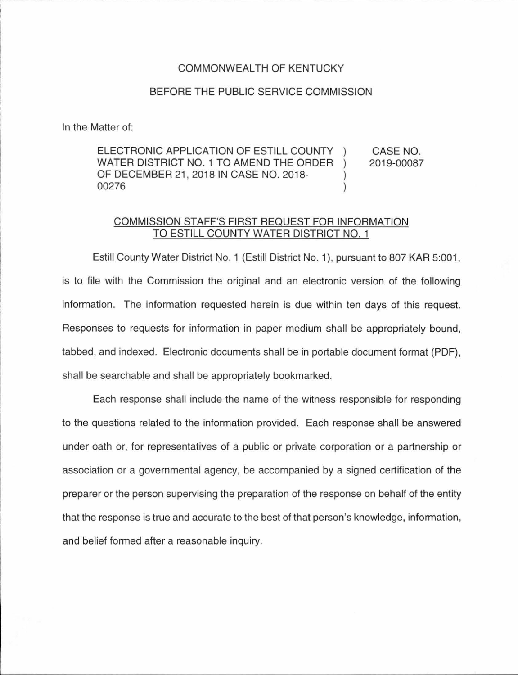## COMMONWEALTH OF KENTUCKY

## BEFORE THE PUBLIC SERVICE COMMISSION

In the Matter of:

ELECTRONIC APPLICATION OF ESTILL COUNTY CASE NO. WATER DISTRICT NO. 1 TO AMEND THE ORDER 2019-00087  $\lambda$ OF DECEMBER 21 , 2018 IN CASE NO. 2018- 00276  $\mathcal{E}$ 

## COMMISSION STAFF'S FIRST REQUEST FOR INFORMATION TO ESTILL COUNTY WATER DISTRICT NO. 1

Estill County Water District No. 1 (Estill District No. 1 ), pursuant to 807 KAR 5:001, is to file with the Commission the original and an electronic version of the following information. The information requested herein is due within ten days of this request. Responses to requests for information in paper medium shall be appropriately bound, tabbed, and indexed. Electronic documents shall be in portable document format (PDF), shall be searchable and shall be appropriately bookmarked.

Each response shall include the name of the witness responsible for responding to the questions related to the information provided. Each response shall be answered under oath or, for representatives of a public or private corporation or a partnership or association or a governmental agency, be accompanied by a signed certification of the preparer or the person supervising the preparation of the response on behalf of the entity that the response is true and accurate to the best of that person's knowledge, information, and belief formed after a reasonable inquiry.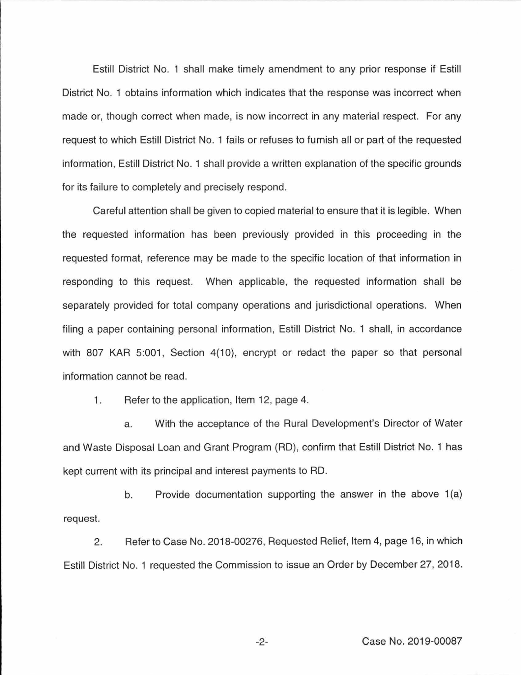Estill District No. 1 shall make timely amendment to any prior response if Estill District No. 1 obtains information which indicates that the response was incorrect when made or, though correct when made, is now incorrect in any material respect. For any request to which Estill District No. 1 fails or refuses to furnish all or part of the requested information, Estill District No. 1 shall provide a written explanation of the specific grounds for its failure to completely and precisely respond.

Careful attention shall be given to copied material to ensure that it is legible. When the requested information has been previously provided in this proceeding in the requested format, reference may be made to the specific location of that information in responding to this request. When applicable, the requested information shall be separately provided for total company operations and jurisdictional operations. When filing a paper containing personal information, Estill District No. 1 shall, in accordance with 807 KAR 5:001, Section 4(10), encrypt or redact the paper so that personal information cannot be read.

1. Refer to the application, Item 12, page 4.

a. With the acceptance of the Rural Development's Director of Water and Waste Disposal Loan and Grant Program (RD), confirm that Estill District No. 1 has kept current with its principal and interest payments to RD.

b. Provide documentation supporting the answer in the above  $1(a)$ request.

2. Refer to Case No. 2018-00276, Requested Relief, Item 4, page 16, in which Estill District No. 1 requested the Commission to issue an Order by December 27, 2018.

-2- Case No. 2019-00087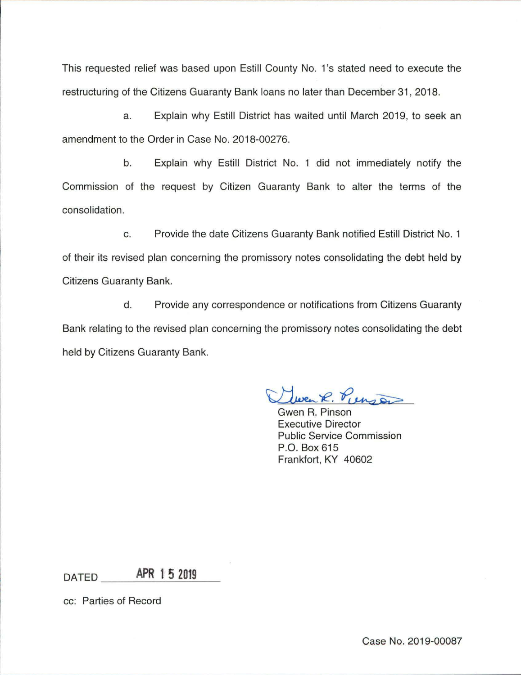This requested relief was based upon Estill County No. 1's stated need to execute the restructuring of the Citizens Guaranty Bank loans no later than December 31, 2018.

a. Explain why Estill District has waited until March 2019, to seek an amendment to the Order in Case No. 2018-00276.

b. Explain why Estill District No. 1 did not immediately notify the Commission of the request by Citizen Guaranty Bank to alter the terms of the consolidation.

c. Provide the date Citizens Guaranty Bank notified Estill District No. 1 of their its revised plan concerning the promissory notes consolidating the debt held by Citizens Guaranty Bank.

d. Provide any correspondence or notifications from Citizens Guaranty Bank relating to the revised plan concerning the promissory notes consolidating the debt held by Citizens Guaranty Bank.

ven R. Purson

Gwen R. Pinson Executive Director Public Service Commission P.O. Box 615 Frankfort, KY 40602

DATED **\_\_ A\_PR\_1 5\_2\_01\_9** \_

cc: Parties of Record